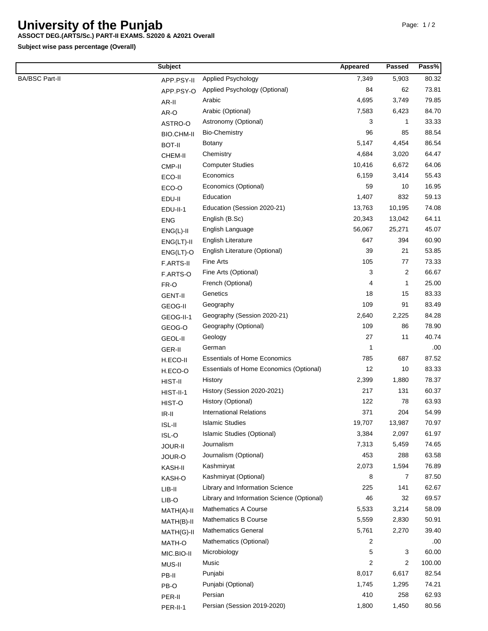## **University of the Punjab**

## **ASSOCT DEG.(ARTS/Sc.) PART-II EXAMS. S2020 & A2021 Overall**

**Subject wise pass percentage (Overall)**

|                       | <b>Subject</b>     |                                            | Appeared                | <b>Passed</b> | Pass%        |
|-----------------------|--------------------|--------------------------------------------|-------------------------|---------------|--------------|
| <b>BA/BSC Part-II</b> | APP.PSY-II         | Applied Psychology                         | 7,349                   | 5,903         | 80.32        |
|                       | APP.PSY-O          | Applied Psychology (Optional)              | 84                      | 62            | 73.81        |
|                       | AR-II              | Arabic                                     | 4,695                   | 3,749         | 79.85        |
|                       | AR-O               | Arabic (Optional)                          | 7,583                   | 6,423         | 84.70        |
|                       | ASTRO-O            | Astronomy (Optional)                       | 3                       | $\mathbf{1}$  | 33.33        |
|                       | BIO.CHM-II         | <b>Bio-Chemistry</b>                       | 96                      | 85            | 88.54        |
|                       | <b>BOT-II</b>      | <b>Botany</b>                              | 5,147                   | 4,454         | 86.54        |
|                       | CHEM-II            | Chemistry                                  | 4,684                   | 3,020         | 64.47        |
|                       | CMP-II             | <b>Computer Studies</b>                    | 10,416                  | 6,672         | 64.06        |
|                       | ECO-II             | Economics                                  | 6,159                   | 3,414         | 55.43        |
|                       | ECO-O              | Economics (Optional)                       | 59                      | 10            | 16.95        |
|                       | EDU-II             | Education                                  | 1,407                   | 832           | 59.13        |
|                       | EDU-II-1           | Education (Session 2020-21)                | 13,763                  | 10,195        | 74.08        |
|                       | <b>ENG</b>         | English (B.Sc)                             | 20,343                  | 13,042        | 64.11        |
|                       | $ENG(L)-II$        | English Language                           | 56,067                  | 25,271        | 45.07        |
|                       | $ENG(LT)-II$       | <b>English Literature</b>                  | 647                     | 394           | 60.90        |
|                       | $ENG(LT)-O$        | English Literature (Optional)              | 39                      | 21            | 53.85        |
|                       | F.ARTS-II          | Fine Arts                                  | 105                     | 77            | 73.33        |
|                       | F.ARTS-O           | Fine Arts (Optional)                       | 3                       | 2             | 66.67        |
|                       | FR-O               | French (Optional)                          | 4                       | 1             | 25.00        |
|                       | <b>GENT-II</b>     | Genetics                                   | 18                      | 15            | 83.33        |
|                       | <b>GEOG-II</b>     | Geography                                  | 109                     | 91            | 83.49        |
|                       | GEOG-II-1          | Geography (Session 2020-21)                | 2,640                   | 2,225         | 84.28        |
|                       | GEOG-O             | Geography (Optional)                       | 109                     | 86            | 78.90        |
|                       | <b>GEOL-II</b>     | Geology                                    | 27                      | 11            | 40.74        |
|                       | GER-II             | German                                     | 1                       |               | .00          |
|                       | H.ECO-II           | <b>Essentials of Home Economics</b>        | 785                     | 687           | 87.52        |
|                       |                    | Essentials of Home Economics (Optional)    | 12                      | 10            | 83.33        |
|                       | H.ECO-O<br>HIST-II | History                                    | 2,399                   | 1,880         | 78.37        |
|                       |                    | History (Session 2020-2021)                | 217                     | 131           | 60.37        |
|                       | HIST-II-1          | History (Optional)                         | 122                     | 78            | 63.93        |
|                       | HIST-O             | <b>International Relations</b>             | 371                     | 204           | 54.99        |
|                       | $IR-II$            | <b>Islamic Studies</b>                     | 19,707                  | 13,987        | 70.97        |
|                       | $ISL-II$           | Islamic Studies (Optional)                 | 3,384                   | 2,097         | 61.97        |
|                       | ISL-O              | Journalism                                 | 7,313                   | 5,459         | 74.65        |
|                       | JOUR-II            | Journalism (Optional)                      | 453                     | 288           | 63.58        |
|                       | JOUR-O             | Kashmiryat                                 | 2,073                   | 1,594         | 76.89        |
|                       | KASH-II            | Kashmiryat (Optional)                      | 8                       | 7             | 87.50        |
|                       | KASH-O             | Library and Information Science            | 225                     | 141           | 62.67        |
|                       | $LIB-II$           | Library and Information Science (Optional) | 46                      | 32            | 69.57        |
|                       | LIB-O              | <b>Mathematics A Course</b>                | 5,533                   | 3,214         | 58.09        |
|                       | MATH(A)-II         | Mathematics B Course                       | 5,559                   | 2,830         | 50.91        |
|                       | MATH(B)-II         | <b>Mathematics General</b>                 | 5,761                   | 2,270         | 39.40        |
|                       | MATH(G)-II         |                                            | 2                       |               |              |
|                       | MATH-O             | Mathematics (Optional)<br>Microbiology     | 5                       | 3             | .00<br>60.00 |
|                       | MIC.BIO-II         | Music                                      | $\overline{\mathbf{c}}$ |               | 100.00       |
|                       | MUS-II             |                                            |                         | 2             |              |
|                       | PB-II              | Punjabi                                    | 8,017<br>1,745          | 6,617         | 82.54        |
|                       | PB-O               | Punjabi (Optional)<br>Persian              | 410                     | 1,295<br>258  | 74.21        |
|                       | PER-II             |                                            |                         |               | 62.93        |
|                       | PER-II-1           | Persian (Session 2019-2020)                | 1,800                   | 1,450         | 80.56        |